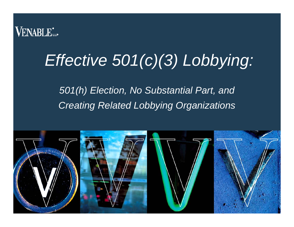

### *Effective 501(c)(3) Lobbying:*

*501(h) Election, No Substantial Part, and Creating Related Lobbying Organizations*

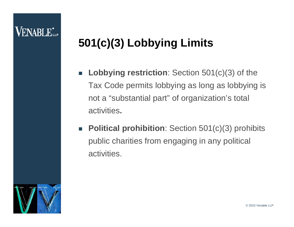#### **VENABLE**\*

#### **501(c)(3) Lobbying Limits**

- $\Box$  **Lobbying restriction**: Section 501(c)(3) of the Tax Code permits lobbying as long as lobbying is not a "substantial part" of organization's total activities**.**
- $\mathbb{R}^3$  **Political prohibition**: Section 501(c)(3) prohibits public charities from engaging in any political activities.

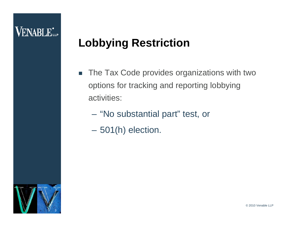#### **Lobbying Restriction**

- $\overline{\phantom{a}}$  The Tax Code provides organizations with two options for tracking and reporting lobbying activities:
	- "No substantial part" test, or
	- $\mathcal{L}_{\mathcal{A}}$ 501(h) election.

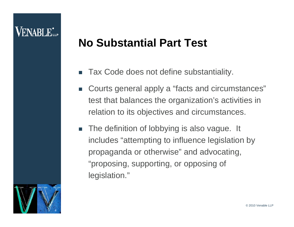#### **No Substantial Part Test**

- П Tax Code does not define substantiality.
- $\sim$  Courts general apply a "facts and circumstances" test that balances the organization's activities in relation to its objectives and circumstances.
- $\overline{\phantom{a}}$  The definition of lobbying is also vague. It includes "attempting to influence legislation by propaganda or otherwise" and advocating, "proposing, supporting, or opposing of legislation."

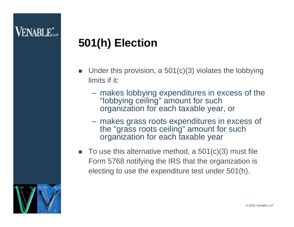#### **501(h) Election**

- П Under this provision, a 501(c)(3) violates the lobbying limits if it:
	- makes lobbying expenditures in excess of the "lobbying ceiling" amount for such organization for each taxable year, or
	- makes grass roots expenditures in excess of the "grass roots ceiling" amount for such organization for each taxable year
- П To use this alternative method, a 501(c)(3) must file Form 5768 notifying the IRS that the organization is electing to use the expenditure test under 501(h).

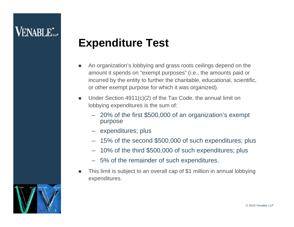#### **Expenditure Test**

- An organization's lobbying and grass roots ceilings depend on the amount it spends on "exempt purposes" (i.e., the amounts paid or incurred by the entity to further the charitable, educational, scientific, or other exempt purpose for which it was organized).
- $\mathcal{C}_{\mathcal{A}}$  Under Section 4911(c)(2) of the Tax Code, the annual limit on lobbying expenditures is the sum of:
	- 20% of the first \$500,000 of an organization's exempt purpose
	- expenditures; plus
	- 15% of the second \$500,000 of such expenditures; plus
	- 10% of the third \$500,000 of such expenditures; plus
	- 5% of the remainder of such expenditures.
- L This limit is subject to an overall cap of \$1 million in annual lobbying expenditures.

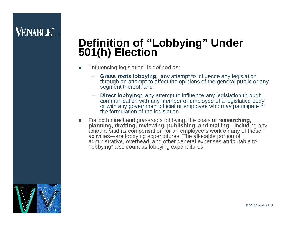# **Definition of "Lobbying" Under 501(h) Election**

- F "Influencing legislation" is defined as:
	- **Grass roots lobbying**: any attempt to influence any legislation through an attempt to affect the opinions of the general public or any segment thereof; and
	- **Direct lobbying**: any attempt to influence any legislation through communication with any member or employee of a legislative body, or with any government official or employee who may participate in the formulation of the legislation.
- E For both direct and grassroots lobbying, the costs of **researching, planning, drafting, reviewing, publishing, and mailing**—including any amount paid as compensation for an employee's work on any of these activities—are lobbying expenditures. The allocable portion of administrative, overhead, and other general expenses attributable to "lobbying" also count as lobbying expenditures.

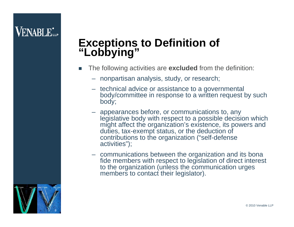## **Exceptions to Definition of "Lobbying"**

- П The following activities are **excluded** from the definition:
	- nonpartisan analysis, study, or research;
	- technical advice or assistance to a governmental body/committee in response to a written request by such body;
	- appearances before, or communications to, any legislative body with respect to a possible decision which might affect the organization's existence, its powers and duties, tax-exempt status, or the deduction of contributions to the organization ("self-defense activities");
	- communications between the organization and its bona fide members with respect to legislation of direct interest to the organization (unless the communication urges members to contact their legislator).

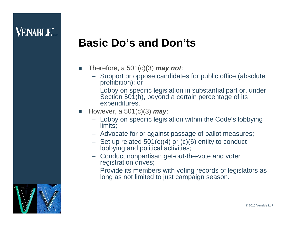#### **Basic Do's and Don'ts**

- П Therefore, a 501(c)(3) *may not*:
	- Support or oppose candidates for public office (absolute prohibition); or
	- Lobby on specific legislation in substantial part or, under Section 501(h), beyond a certain percentage of its expenditures.
- П However, a 501(c)(3) *may*:
	- Lobby on specific legislation within the Code's lobbying limits;
	- Advocate for or against passage of ballot measures;
	- Set up related 501(c)(4) or (c)(6) entity to conduct lobbying and political activities;
	- Conduct nonpartisan get-out-the-vote and voter registration drives;
	- Provide its members with voting records of legislators as long as not limited to just campaign season.

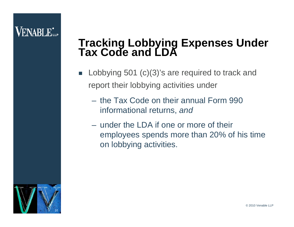# **Tracking Lobbying Expenses Under Tax Code and LDA**

- $\Box$  Lobbying 501 (c)(3)'s are required to track and report their lobbying activities under
	- the Tax Code on their annual Form 990 informational returns, *and*
	- under the LDA if one or more of their employees spends more than 20% of his time on lobbying activities.

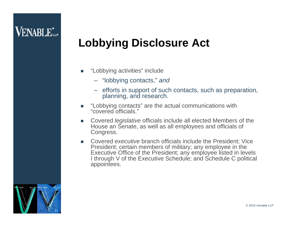#### **Lobbying Disclosure Act**

- $\mathcal{L}_{\mathcal{A}}$  "Lobbying activities" include
	- "lobbying contacts," *and*
	- efforts in support of such contacts, such as preparation, planning, and research.
- "Lobbying contacts" are the actual communications with "covered officials."
- Covered *legislative* officials include all elected Members of the House an Senate, as well as all employees and officials of Congress.
- F Covered *executive* branch officials include the President; Vice President; certain members of military; any employee in the Executive Office of the President; any employee listed in levels I through V of the Executive Schedule; and Schedule C political appointees.

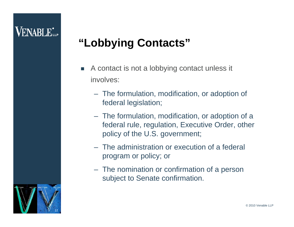#### **"Lobbying Contacts"**

- $\sim$  A contact is not a lobbying contact unless it involves:
	- The formulation, modification, or adoption of federal legislation;
	- The formulation, modification, or adoption of a federal rule, regulation, Executive Order, other policy of the U.S. government;
	- The administration or execution of a federal program or policy; or
	- The nomination or confirmation of a person subject to Senate confirmation.

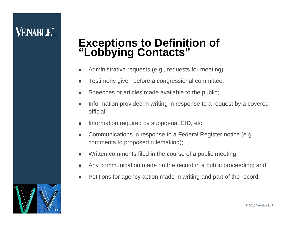### **Exceptions to Definition of "Lobbying Contacts"**

- L. Administrative requests (e.g., requests for meeting);
- $\overline{\phantom{a}}$ Testimony given before a congressional committee;
- F Speeches or articles made available to the public;
- L. Information provided in writing in response to a request by a covered official;
- $\mathcal{L}_{\mathcal{A}}$ Information required by subpoena, CID, etc.
- T. Communications in response to a Federal Register notice (e.g., comments to proposed rulemaking);
- Written comments filed in the course of a public meeting;
- **T** Any communication made on the record in a public proceeding; and
- F Petitions for agency action made in writing and part of the record.

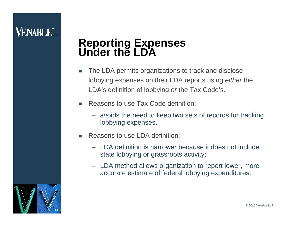### **Reporting Expenses Under the LDA**

- $\mathcal{L}_{\mathcal{A}}$  The LDA permits organizations to track and disclose lobbying expenses on their LDA reports using *either* the LDA's definition of lobbying *or* the Tax Code's.
- П Reasons to use Tax Code definition:
	- avoids the need to keep two sets of records for tracking lobbying expenses.
- П Reasons to use LDA definition:
	- LDA definition is narrower because it does not include state lobbying or grassroots activity;
	- LDA method allows organization to report lower, more accurate estimate of federal lobbying expenditures.